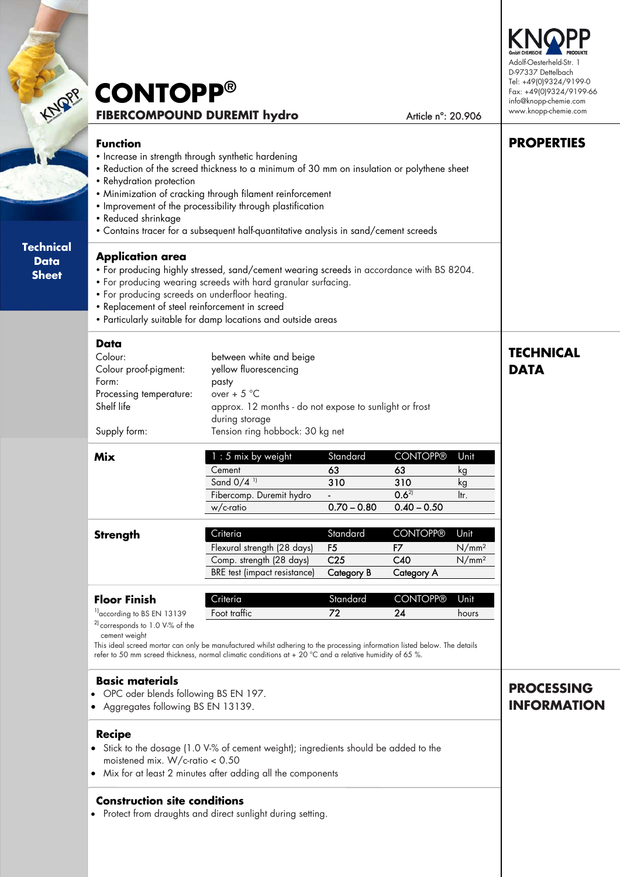| <b>NOPP</b>                                     | <b>CONTOPP®</b><br><b>FIBERCOMPOUND DUREMIT hydro</b><br>Article n°: 20.906                                                                                                                                                                                                                                                                                                                                                               | Adolf-Oesterheld-Str.<br>D-97337 Dettelbach<br>Tel: +49(0)9324/9199-0<br>Fax: +49(0)9324/9199-66<br>info@knopp-chemie.com<br>www.knopp-chemie.com |
|-------------------------------------------------|-------------------------------------------------------------------------------------------------------------------------------------------------------------------------------------------------------------------------------------------------------------------------------------------------------------------------------------------------------------------------------------------------------------------------------------------|---------------------------------------------------------------------------------------------------------------------------------------------------|
|                                                 | <b>Function</b><br>• Increase in strength through synthetic hardening<br>. Reduction of the screed thickness to a minimum of 30 mm on insulation or polythene sheet<br>• Rehydration protection<br>• Minimization of cracking through filament reinforcement<br>. Improvement of the processibility through plastification<br>• Reduced shrinkage<br>• Contains tracer for a subsequent half-quantitative analysis in sand/cement screeds | <b>PROPERTIES</b>                                                                                                                                 |
| <b>Technical</b><br><b>Data</b><br><b>Sheet</b> | <b>Application area</b><br>• For producing highly stressed, sand/cement wearing screeds in accordance with BS 8204.<br>• For producing wearing screeds with hard granular surfacing.<br>• For producing screeds on underfloor heating.<br>• Replacement of steel reinforcement in screed<br>• Particularly suitable for damp locations and outside areas                                                                                  |                                                                                                                                                   |

**TECHNICAL** 

**PROCESSING INFORMATION**

**DATA** 

#### **Data**

| Colour:<br>Colour proof-pigment:<br>Form:<br>Processing temperature:<br>Shelf life | between white and beige<br>yellow fluorescencing<br>pasty<br>over + $5^{\circ}$ C<br>approx. 12 months - do not expose to sunlight or frost<br>during storage |
|------------------------------------------------------------------------------------|---------------------------------------------------------------------------------------------------------------------------------------------------------------|
| Supply form:                                                                       | Tension ring hobbock: 30 kg net                                                                                                                               |

| Mix | $1:5$ mix by weight      | Standard      | <b>CONTOPP®</b> | Unit |
|-----|--------------------------|---------------|-----------------|------|
|     | Cement                   | 63            | 63              | kg   |
|     | Sand $0/4$ <sup>11</sup> | 310           | 310             | κg   |
|     | Fibercomp. Duremit hydro | -             | $0.6^{21}$      | ltr. |
|     | w/c-ratio                | $0.70 - 0.80$ | $0.40 - 0.50$   |      |

| <b>Strength</b> | Criteria                     | Standard        | <b>CONTOPP®</b> | Unit              |
|-----------------|------------------------------|-----------------|-----------------|-------------------|
|                 | Flexural strength (28 days)  | F5              |                 | $N/mm^2$          |
|                 | Comp. strength (28 days)     | C <sub>25</sub> | C40             | N/mm <sup>2</sup> |
|                 | BRE test (impact resistance) | Category B      | Category A      |                   |
|                 |                              |                 |                 |                   |

| <b>Floor Finish</b>                        | Criteria     | Standard | CONTOPP® | Unit  |
|--------------------------------------------|--------------|----------|----------|-------|
| $1$ according to BS EN 13139               | Foot traffic | 72       | 24       | hours |
| <sup>2</sup> corresponds to 1.0 V-% of the |              |          |          |       |

cement weight

This ideal screed mortar can only be manufactured whilst adhering to the processing information listed below. The details refer to 50 mm screed thickness, normal climatic conditions at + 20 °C and a relative humidity of 65 %.

#### **Basic materials**

- OPC oder blends following BS EN 197.
- Aggregates following BS EN 13139.

### **Recipe**

- Stick to the dosage (1.0 V-% of cement weight); ingredients should be added to the moistened mix. W/c-ratio < 0.50
- Mix for at least 2 minutes after adding all the components

## **Construction site conditions**

• Protect from draughts and direct sunlight during setting.